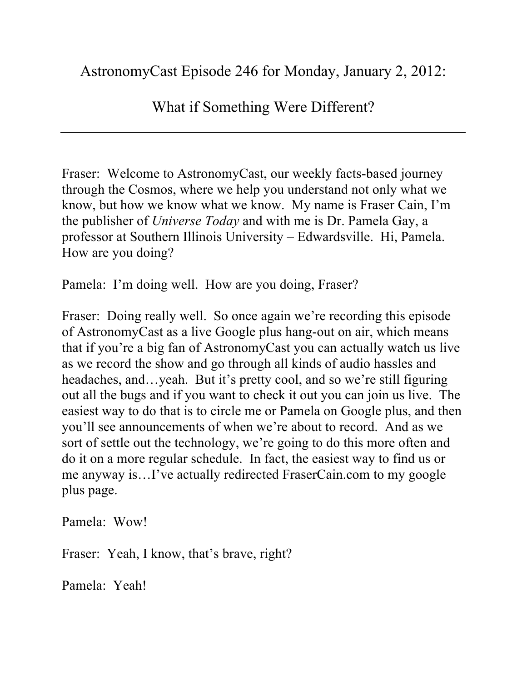## What if Something Were Different?

Fraser: Welcome to AstronomyCast, our weekly facts-based journey through the Cosmos, where we help you understand not only what we know, but how we know what we know. My name is Fraser Cain, I'm the publisher of *Universe Today* and with me is Dr. Pamela Gay, a professor at Southern Illinois University – Edwardsville. Hi, Pamela. How are you doing?

Pamela: I'm doing well. How are you doing, Fraser?

Fraser: Doing really well. So once again we're recording this episode of AstronomyCast as a live Google plus hang-out on air, which means that if you're a big fan of AstronomyCast you can actually watch us live as we record the show and go through all kinds of audio hassles and headaches, and…yeah. But it's pretty cool, and so we're still figuring out all the bugs and if you want to check it out you can join us live. The easiest way to do that is to circle me or Pamela on Google plus, and then you'll see announcements of when we're about to record. And as we sort of settle out the technology, we're going to do this more often and do it on a more regular schedule. In fact, the easiest way to find us or me anyway is…I've actually redirected FraserCain.com to my google plus page.

Pamela: Wow!

Fraser: Yeah, I know, that's brave, right?

Pamela: Yeah!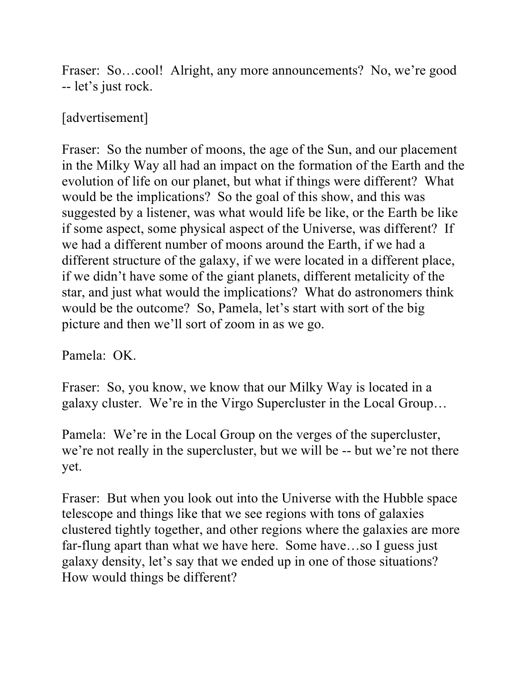Fraser: So...cool! Alright, any more announcements? No, we're good -- let's just rock.

## [advertisement]

Fraser: So the number of moons, the age of the Sun, and our placement in the Milky Way all had an impact on the formation of the Earth and the evolution of life on our planet, but what if things were different? What would be the implications? So the goal of this show, and this was suggested by a listener, was what would life be like, or the Earth be like if some aspect, some physical aspect of the Universe, was different? If we had a different number of moons around the Earth, if we had a different structure of the galaxy, if we were located in a different place, if we didn't have some of the giant planets, different metalicity of the star, and just what would the implications? What do astronomers think would be the outcome? So, Pamela, let's start with sort of the big picture and then we'll sort of zoom in as we go.

Pamela: OK.

Fraser: So, you know, we know that our Milky Way is located in a galaxy cluster. We're in the Virgo Supercluster in the Local Group…

Pamela: We're in the Local Group on the verges of the supercluster, we're not really in the supercluster, but we will be -- but we're not there yet.

Fraser: But when you look out into the Universe with the Hubble space telescope and things like that we see regions with tons of galaxies clustered tightly together, and other regions where the galaxies are more far-flung apart than what we have here. Some have…so I guess just galaxy density, let's say that we ended up in one of those situations? How would things be different?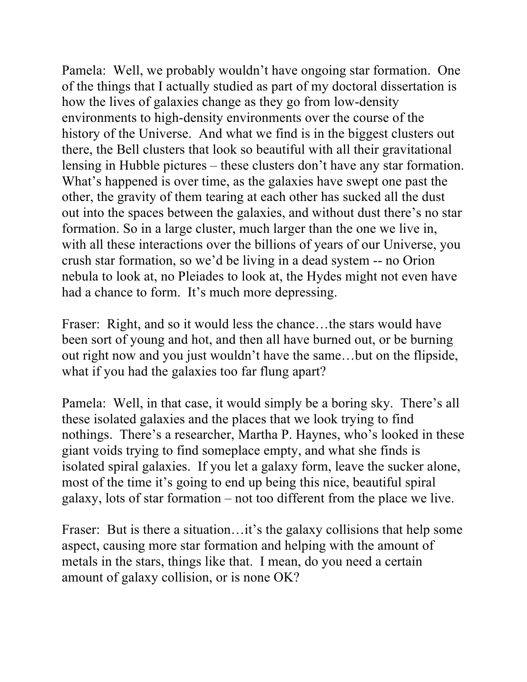Pamela: Well, we probably wouldn't have ongoing star formation. One of the things that I actually studied as part of my doctoral dissertation is how the lives of galaxies change as they go from low-density environments to high-density environments over the course of the history of the Universe. And what we find is in the biggest clusters out there, the Bell clusters that look so beautiful with all their gravitational lensing in Hubble pictures – these clusters don't have any star formation. What's happened is over time, as the galaxies have swept one past the other, the gravity of them tearing at each other has sucked all the dust out into the spaces between the galaxies, and without dust there's no star formation. So in a large cluster, much larger than the one we live in, with all these interactions over the billions of years of our Universe, you crush star formation, so we'd be living in a dead system -- no Orion nebula to look at, no Pleiades to look at, the Hydes might not even have had a chance to form. It's much more depressing.

Fraser: Right, and so it would less the chance…the stars would have been sort of young and hot, and then all have burned out, or be burning out right now and you just wouldn't have the same…but on the flipside, what if you had the galaxies too far flung apart?

Pamela: Well, in that case, it would simply be a boring sky. There's all these isolated galaxies and the places that we look trying to find nothings. There's a researcher, Martha P. Haynes, who's looked in these giant voids trying to find someplace empty, and what she finds is isolated spiral galaxies. If you let a galaxy form, leave the sucker alone, most of the time it's going to end up being this nice, beautiful spiral galaxy, lots of star formation – not too different from the place we live.

Fraser: But is there a situation... it's the galaxy collisions that help some aspect, causing more star formation and helping with the amount of metals in the stars, things like that. I mean, do you need a certain amount of galaxy collision, or is none OK?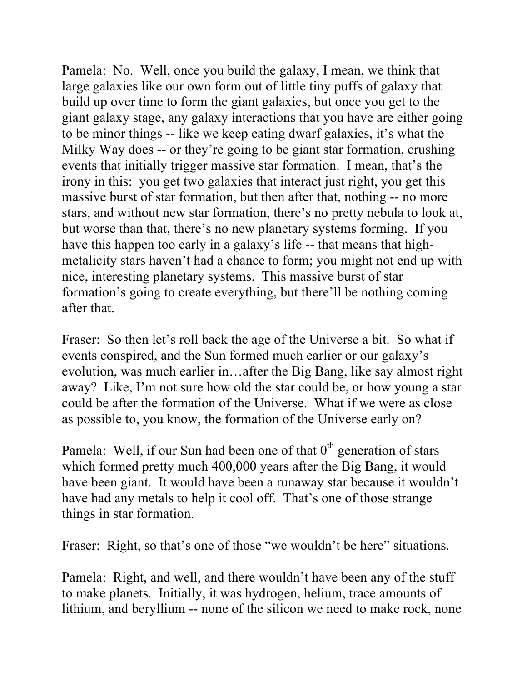Pamela: No. Well, once you build the galaxy, I mean, we think that large galaxies like our own form out of little tiny puffs of galaxy that build up over time to form the giant galaxies, but once you get to the giant galaxy stage, any galaxy interactions that you have are either going to be minor things -- like we keep eating dwarf galaxies, it's what the Milky Way does -- or they're going to be giant star formation, crushing events that initially trigger massive star formation. I mean, that's the irony in this: you get two galaxies that interact just right, you get this massive burst of star formation, but then after that, nothing -- no more stars, and without new star formation, there's no pretty nebula to look at, but worse than that, there's no new planetary systems forming. If you have this happen too early in a galaxy's life -- that means that highmetalicity stars haven't had a chance to form; you might not end up with nice, interesting planetary systems. This massive burst of star formation's going to create everything, but there'll be nothing coming after that.

Fraser: So then let's roll back the age of the Universe a bit. So what if events conspired, and the Sun formed much earlier or our galaxy's evolution, was much earlier in…after the Big Bang, like say almost right away? Like, I'm not sure how old the star could be, or how young a star could be after the formation of the Universe. What if we were as close as possible to, you know, the formation of the Universe early on?

Pamela: Well, if our Sun had been one of that  $0<sup>th</sup>$  generation of stars which formed pretty much 400,000 years after the Big Bang, it would have been giant. It would have been a runaway star because it wouldn't have had any metals to help it cool off. That's one of those strange things in star formation.

Fraser: Right, so that's one of those "we wouldn't be here" situations.

Pamela: Right, and well, and there wouldn't have been any of the stuff to make planets. Initially, it was hydrogen, helium, trace amounts of lithium, and beryllium -- none of the silicon we need to make rock, none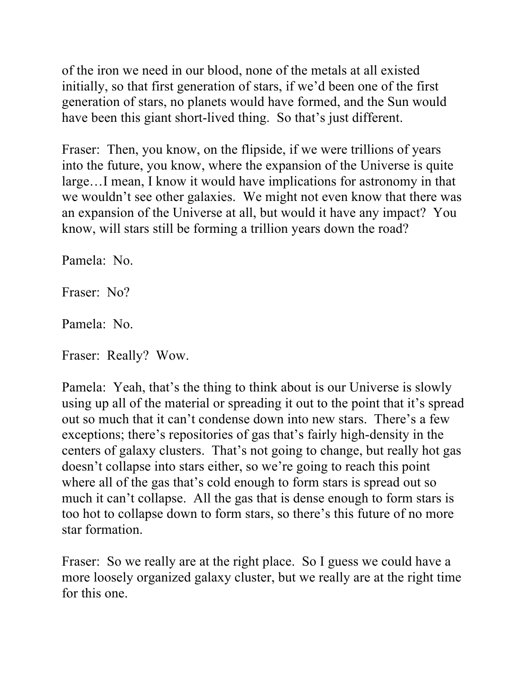of the iron we need in our blood, none of the metals at all existed initially, so that first generation of stars, if we'd been one of the first generation of stars, no planets would have formed, and the Sun would have been this giant short-lived thing. So that's just different.

Fraser: Then, you know, on the flipside, if we were trillions of years into the future, you know, where the expansion of the Universe is quite large…I mean, I know it would have implications for astronomy in that we wouldn't see other galaxies. We might not even know that there was an expansion of the Universe at all, but would it have any impact? You know, will stars still be forming a trillion years down the road?

Pamela: No.

Fraser: No?

Pamela: No.

Fraser: Really? Wow.

Pamela: Yeah, that's the thing to think about is our Universe is slowly using up all of the material or spreading it out to the point that it's spread out so much that it can't condense down into new stars. There's a few exceptions; there's repositories of gas that's fairly high-density in the centers of galaxy clusters. That's not going to change, but really hot gas doesn't collapse into stars either, so we're going to reach this point where all of the gas that's cold enough to form stars is spread out so much it can't collapse. All the gas that is dense enough to form stars is too hot to collapse down to form stars, so there's this future of no more star formation.

Fraser: So we really are at the right place. So I guess we could have a more loosely organized galaxy cluster, but we really are at the right time for this one.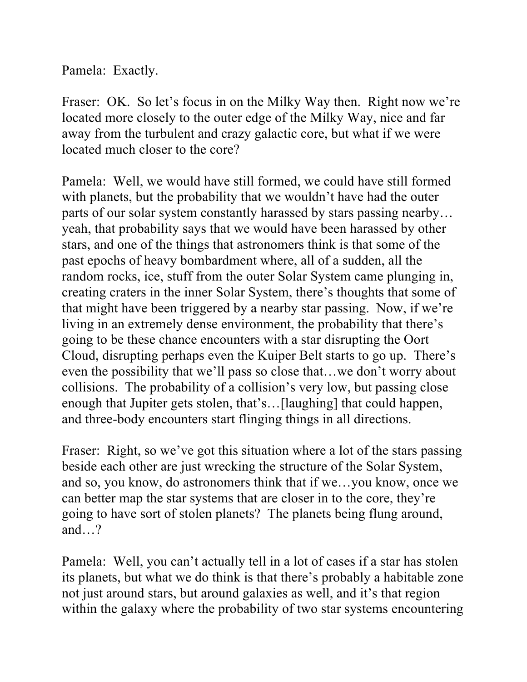Pamela: Exactly.

Fraser: OK. So let's focus in on the Milky Way then. Right now we're located more closely to the outer edge of the Milky Way, nice and far away from the turbulent and crazy galactic core, but what if we were located much closer to the core?

Pamela: Well, we would have still formed, we could have still formed with planets, but the probability that we wouldn't have had the outer parts of our solar system constantly harassed by stars passing nearby… yeah, that probability says that we would have been harassed by other stars, and one of the things that astronomers think is that some of the past epochs of heavy bombardment where, all of a sudden, all the random rocks, ice, stuff from the outer Solar System came plunging in, creating craters in the inner Solar System, there's thoughts that some of that might have been triggered by a nearby star passing. Now, if we're living in an extremely dense environment, the probability that there's going to be these chance encounters with a star disrupting the Oort Cloud, disrupting perhaps even the Kuiper Belt starts to go up. There's even the possibility that we'll pass so close that…we don't worry about collisions. The probability of a collision's very low, but passing close enough that Jupiter gets stolen, that's…[laughing] that could happen, and three-body encounters start flinging things in all directions.

Fraser: Right, so we've got this situation where a lot of the stars passing beside each other are just wrecking the structure of the Solar System, and so, you know, do astronomers think that if we…you know, once we can better map the star systems that are closer in to the core, they're going to have sort of stolen planets? The planets being flung around, and…?

Pamela: Well, you can't actually tell in a lot of cases if a star has stolen its planets, but what we do think is that there's probably a habitable zone not just around stars, but around galaxies as well, and it's that region within the galaxy where the probability of two star systems encountering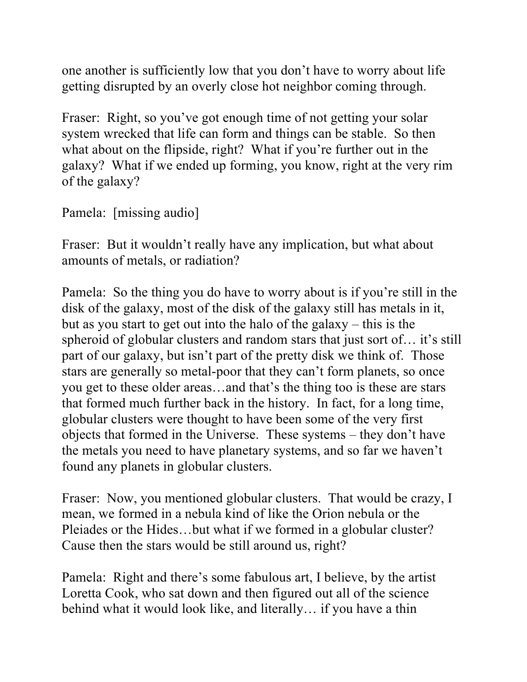one another is sufficiently low that you don't have to worry about life getting disrupted by an overly close hot neighbor coming through.

Fraser: Right, so you've got enough time of not getting your solar system wrecked that life can form and things can be stable. So then what about on the flipside, right? What if you're further out in the galaxy? What if we ended up forming, you know, right at the very rim of the galaxy?

Pamela: [missing audio]

Fraser: But it wouldn't really have any implication, but what about amounts of metals, or radiation?

Pamela: So the thing you do have to worry about is if you're still in the disk of the galaxy, most of the disk of the galaxy still has metals in it, but as you start to get out into the halo of the galaxy – this is the spheroid of globular clusters and random stars that just sort of… it's still part of our galaxy, but isn't part of the pretty disk we think of. Those stars are generally so metal-poor that they can't form planets, so once you get to these older areas…and that's the thing too is these are stars that formed much further back in the history. In fact, for a long time, globular clusters were thought to have been some of the very first objects that formed in the Universe. These systems – they don't have the metals you need to have planetary systems, and so far we haven't found any planets in globular clusters.

Fraser: Now, you mentioned globular clusters. That would be crazy, I mean, we formed in a nebula kind of like the Orion nebula or the Pleiades or the Hides…but what if we formed in a globular cluster? Cause then the stars would be still around us, right?

Pamela: Right and there's some fabulous art, I believe, by the artist Loretta Cook, who sat down and then figured out all of the science behind what it would look like, and literally… if you have a thin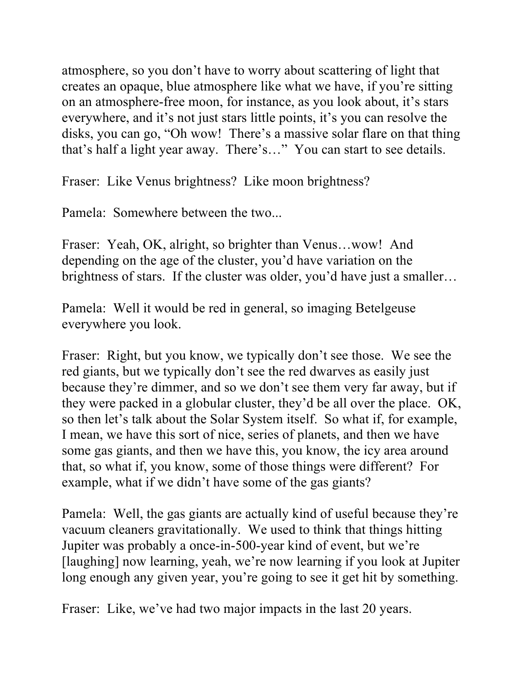atmosphere, so you don't have to worry about scattering of light that creates an opaque, blue atmosphere like what we have, if you're sitting on an atmosphere-free moon, for instance, as you look about, it's stars everywhere, and it's not just stars little points, it's you can resolve the disks, you can go, "Oh wow! There's a massive solar flare on that thing that's half a light year away. There's…" You can start to see details.

Fraser: Like Venus brightness? Like moon brightness?

Pamela: Somewhere between the two...

Fraser: Yeah, OK, alright, so brighter than Venus…wow! And depending on the age of the cluster, you'd have variation on the brightness of stars. If the cluster was older, you'd have just a smaller…

Pamela: Well it would be red in general, so imaging Betelgeuse everywhere you look.

Fraser: Right, but you know, we typically don't see those. We see the red giants, but we typically don't see the red dwarves as easily just because they're dimmer, and so we don't see them very far away, but if they were packed in a globular cluster, they'd be all over the place. OK, so then let's talk about the Solar System itself. So what if, for example, I mean, we have this sort of nice, series of planets, and then we have some gas giants, and then we have this, you know, the icy area around that, so what if, you know, some of those things were different? For example, what if we didn't have some of the gas giants?

Pamela: Well, the gas giants are actually kind of useful because they're vacuum cleaners gravitationally. We used to think that things hitting Jupiter was probably a once-in-500-year kind of event, but we're [laughing] now learning, yeah, we're now learning if you look at Jupiter long enough any given year, you're going to see it get hit by something.

Fraser: Like, we've had two major impacts in the last 20 years.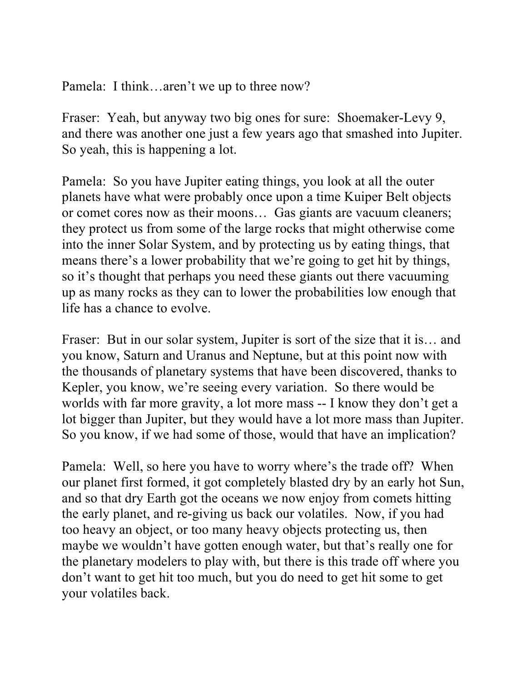Pamela: I think…aren't we up to three now?

Fraser: Yeah, but anyway two big ones for sure: Shoemaker-Levy 9, and there was another one just a few years ago that smashed into Jupiter. So yeah, this is happening a lot.

Pamela: So you have Jupiter eating things, you look at all the outer planets have what were probably once upon a time Kuiper Belt objects or comet cores now as their moons… Gas giants are vacuum cleaners; they protect us from some of the large rocks that might otherwise come into the inner Solar System, and by protecting us by eating things, that means there's a lower probability that we're going to get hit by things, so it's thought that perhaps you need these giants out there vacuuming up as many rocks as they can to lower the probabilities low enough that life has a chance to evolve.

Fraser: But in our solar system, Jupiter is sort of the size that it is... and you know, Saturn and Uranus and Neptune, but at this point now with the thousands of planetary systems that have been discovered, thanks to Kepler, you know, we're seeing every variation. So there would be worlds with far more gravity, a lot more mass -- I know they don't get a lot bigger than Jupiter, but they would have a lot more mass than Jupiter. So you know, if we had some of those, would that have an implication?

Pamela: Well, so here you have to worry where's the trade off? When our planet first formed, it got completely blasted dry by an early hot Sun, and so that dry Earth got the oceans we now enjoy from comets hitting the early planet, and re-giving us back our volatiles. Now, if you had too heavy an object, or too many heavy objects protecting us, then maybe we wouldn't have gotten enough water, but that's really one for the planetary modelers to play with, but there is this trade off where you don't want to get hit too much, but you do need to get hit some to get your volatiles back.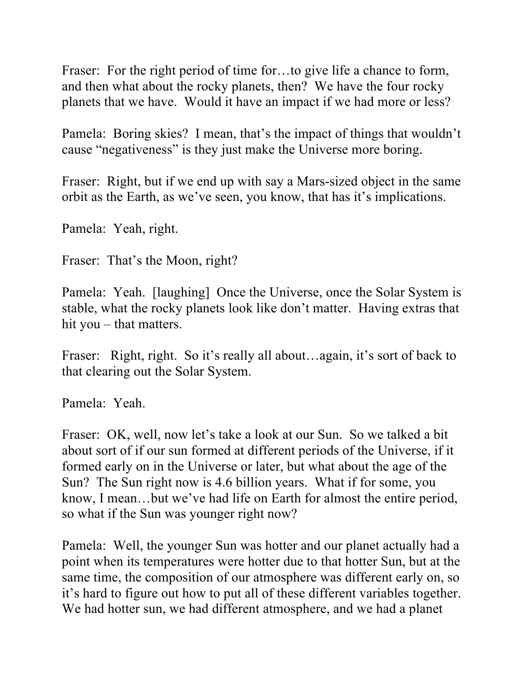Fraser: For the right period of time for...to give life a chance to form, and then what about the rocky planets, then? We have the four rocky planets that we have. Would it have an impact if we had more or less?

Pamela: Boring skies? I mean, that's the impact of things that wouldn't cause "negativeness" is they just make the Universe more boring.

Fraser: Right, but if we end up with say a Mars-sized object in the same orbit as the Earth, as we've seen, you know, that has it's implications.

Pamela: Yeah, right.

Fraser: That's the Moon, right?

Pamela: Yeah. [laughing] Once the Universe, once the Solar System is stable, what the rocky planets look like don't matter. Having extras that hit you – that matters.

Fraser: Right, right. So it's really all about... again, it's sort of back to that clearing out the Solar System.

Pamela: Yeah.

Fraser: OK, well, now let's take a look at our Sun. So we talked a bit about sort of if our sun formed at different periods of the Universe, if it formed early on in the Universe or later, but what about the age of the Sun? The Sun right now is 4.6 billion years. What if for some, you know, I mean…but we've had life on Earth for almost the entire period, so what if the Sun was younger right now?

Pamela: Well, the younger Sun was hotter and our planet actually had a point when its temperatures were hotter due to that hotter Sun, but at the same time, the composition of our atmosphere was different early on, so it's hard to figure out how to put all of these different variables together. We had hotter sun, we had different atmosphere, and we had a planet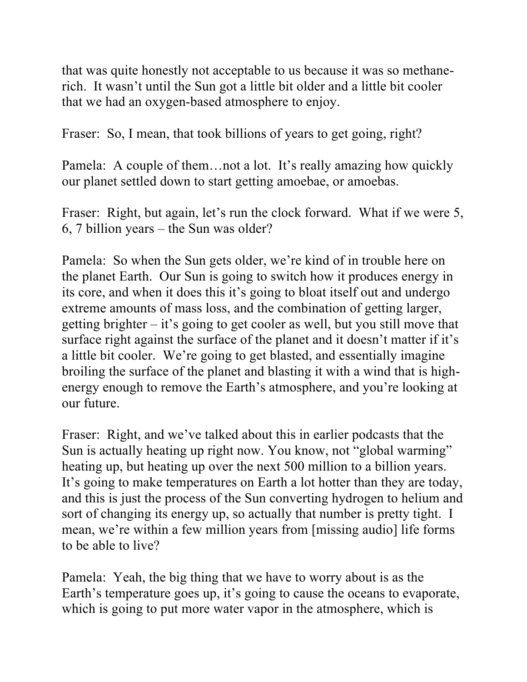that was quite honestly not acceptable to us because it was so methanerich. It wasn't until the Sun got a little bit older and a little bit cooler that we had an oxygen-based atmosphere to enjoy.

Fraser: So, I mean, that took billions of years to get going, right?

Pamela: A couple of them…not a lot. It's really amazing how quickly our planet settled down to start getting amoebae, or amoebas.

Fraser: Right, but again, let's run the clock forward. What if we were 5, 6, 7 billion years – the Sun was older?

Pamela: So when the Sun gets older, we're kind of in trouble here on the planet Earth. Our Sun is going to switch how it produces energy in its core, and when it does this it's going to bloat itself out and undergo extreme amounts of mass loss, and the combination of getting larger, getting brighter – it's going to get cooler as well, but you still move that surface right against the surface of the planet and it doesn't matter if it's a little bit cooler. We're going to get blasted, and essentially imagine broiling the surface of the planet and blasting it with a wind that is highenergy enough to remove the Earth's atmosphere, and you're looking at our future.

Fraser: Right, and we've talked about this in earlier podcasts that the Sun is actually heating up right now. You know, not "global warming" heating up, but heating up over the next 500 million to a billion years. It's going to make temperatures on Earth a lot hotter than they are today, and this is just the process of the Sun converting hydrogen to helium and sort of changing its energy up, so actually that number is pretty tight. I mean, we're within a few million years from [missing audio] life forms to be able to live?

Pamela: Yeah, the big thing that we have to worry about is as the Earth's temperature goes up, it's going to cause the oceans to evaporate, which is going to put more water vapor in the atmosphere, which is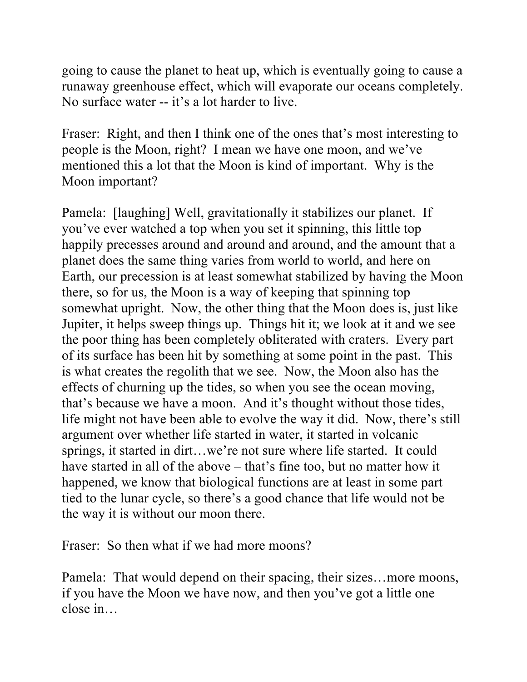going to cause the planet to heat up, which is eventually going to cause a runaway greenhouse effect, which will evaporate our oceans completely. No surface water -- it's a lot harder to live.

Fraser: Right, and then I think one of the ones that's most interesting to people is the Moon, right? I mean we have one moon, and we've mentioned this a lot that the Moon is kind of important. Why is the Moon important?

Pamela: [laughing] Well, gravitationally it stabilizes our planet. If you've ever watched a top when you set it spinning, this little top happily precesses around and around and around, and the amount that a planet does the same thing varies from world to world, and here on Earth, our precession is at least somewhat stabilized by having the Moon there, so for us, the Moon is a way of keeping that spinning top somewhat upright. Now, the other thing that the Moon does is, just like Jupiter, it helps sweep things up. Things hit it; we look at it and we see the poor thing has been completely obliterated with craters. Every part of its surface has been hit by something at some point in the past. This is what creates the regolith that we see. Now, the Moon also has the effects of churning up the tides, so when you see the ocean moving, that's because we have a moon. And it's thought without those tides, life might not have been able to evolve the way it did. Now, there's still argument over whether life started in water, it started in volcanic springs, it started in dirt…we're not sure where life started. It could have started in all of the above – that's fine too, but no matter how it happened, we know that biological functions are at least in some part tied to the lunar cycle, so there's a good chance that life would not be the way it is without our moon there.

Fraser: So then what if we had more moons?

Pamela: That would depend on their spacing, their sizes…more moons, if you have the Moon we have now, and then you've got a little one close in…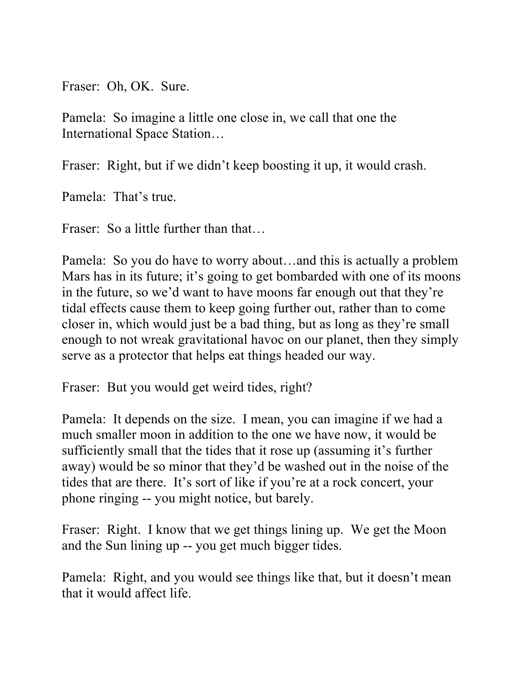Fraser: Oh, OK. Sure.

Pamela: So imagine a little one close in, we call that one the International Space Station…

Fraser: Right, but if we didn't keep boosting it up, it would crash.

Pamela: That's true.

Fraser: So a little further than that…

Pamela: So you do have to worry about…and this is actually a problem Mars has in its future; it's going to get bombarded with one of its moons in the future, so we'd want to have moons far enough out that they're tidal effects cause them to keep going further out, rather than to come closer in, which would just be a bad thing, but as long as they're small enough to not wreak gravitational havoc on our planet, then they simply serve as a protector that helps eat things headed our way.

Fraser: But you would get weird tides, right?

Pamela: It depends on the size. I mean, you can imagine if we had a much smaller moon in addition to the one we have now, it would be sufficiently small that the tides that it rose up (assuming it's further away) would be so minor that they'd be washed out in the noise of the tides that are there. It's sort of like if you're at a rock concert, your phone ringing -- you might notice, but barely.

Fraser: Right. I know that we get things lining up. We get the Moon and the Sun lining up -- you get much bigger tides.

Pamela: Right, and you would see things like that, but it doesn't mean that it would affect life.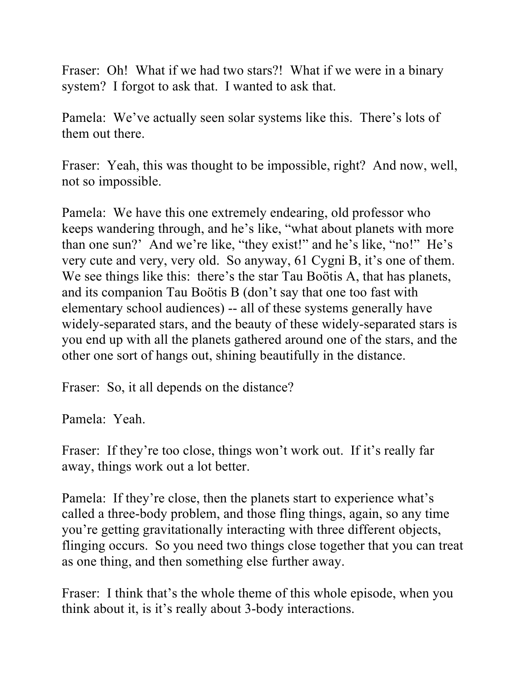Fraser: Oh! What if we had two stars?! What if we were in a binary system? I forgot to ask that. I wanted to ask that.

Pamela: We've actually seen solar systems like this. There's lots of them out there.

Fraser: Yeah, this was thought to be impossible, right? And now, well, not so impossible.

Pamela: We have this one extremely endearing, old professor who keeps wandering through, and he's like, "what about planets with more than one sun?' And we're like, "they exist!" and he's like, "no!" He's very cute and very, very old. So anyway, 61 Cygni B, it's one of them. We see things like this: there's the star Tau Boötis A, that has planets, and its companion Tau Boötis B (don't say that one too fast with elementary school audiences) -- all of these systems generally have widely-separated stars, and the beauty of these widely-separated stars is you end up with all the planets gathered around one of the stars, and the other one sort of hangs out, shining beautifully in the distance.

Fraser: So, it all depends on the distance?

Pamela: Yeah.

Fraser: If they're too close, things won't work out. If it's really far away, things work out a lot better.

Pamela: If they're close, then the planets start to experience what's called a three-body problem, and those fling things, again, so any time you're getting gravitationally interacting with three different objects, flinging occurs. So you need two things close together that you can treat as one thing, and then something else further away.

Fraser: I think that's the whole theme of this whole episode, when you think about it, is it's really about 3-body interactions.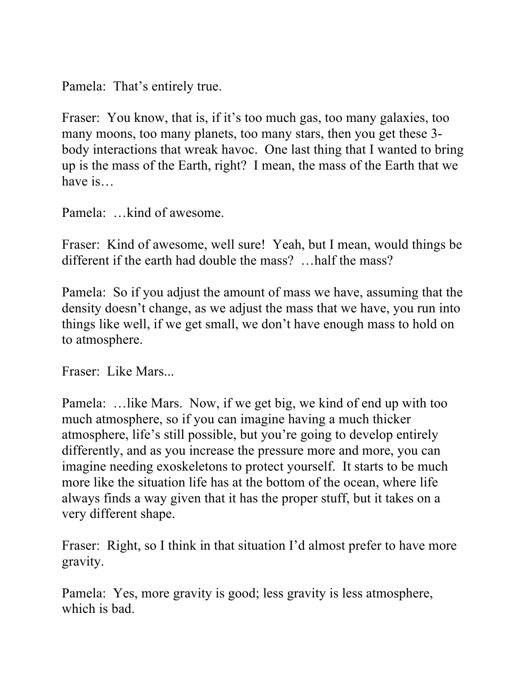Pamela: That's entirely true.

Fraser: You know, that is, if it's too much gas, too many galaxies, too many moons, too many planets, too many stars, then you get these 3 body interactions that wreak havoc. One last thing that I wanted to bring up is the mass of the Earth, right? I mean, the mass of the Earth that we have is…

Pamela: …kind of awesome.

Fraser: Kind of awesome, well sure! Yeah, but I mean, would things be different if the earth had double the mass? …half the mass?

Pamela: So if you adjust the amount of mass we have, assuming that the density doesn't change, as we adjust the mass that we have, you run into things like well, if we get small, we don't have enough mass to hold on to atmosphere.

Fraser: Like Mars...

Pamela: …like Mars. Now, if we get big, we kind of end up with too much atmosphere, so if you can imagine having a much thicker atmosphere, life's still possible, but you're going to develop entirely differently, and as you increase the pressure more and more, you can imagine needing exoskeletons to protect yourself. It starts to be much more like the situation life has at the bottom of the ocean, where life always finds a way given that it has the proper stuff, but it takes on a very different shape.

Fraser: Right, so I think in that situation I'd almost prefer to have more gravity.

Pamela: Yes, more gravity is good; less gravity is less atmosphere, which is bad.